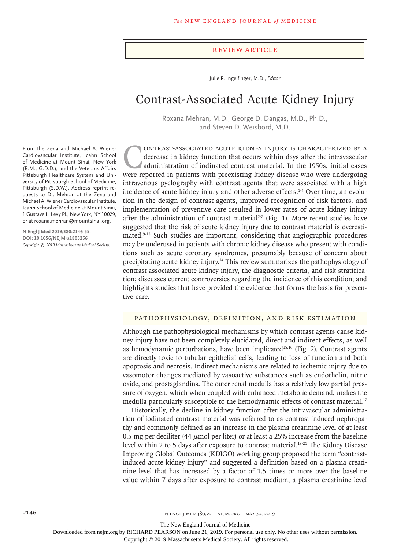#### Review Article

Julie R. Ingelfinger, M.D., *Editor*

# Contrast-Associated Acute Kidney Injury

Roxana Mehran, M.D., George D. Dangas, M.D., Ph.D., and Steven D. Weisbord, M.D.

CONTRAST-ASSOCIATED ACUTE KIDNEY INJURY IS CHARACTERIZED BY A decrease in kidney function that occurs within days after the intravascular administration of iodinated contrast material. In the 1950s, initial cases were repo decrease in kidney function that occurs within days after the intravascular administration of iodinated contrast material. In the 1950s, initial cases were reported in patients with preexisting kidney disease who were undergoing intravenous pyelography with contrast agents that were associated with a high incidence of acute kidney injury and other adverse effects. $14$  Over time, an evolution in the design of contrast agents, improved recognition of risk factors, and implementation of preventive care resulted in lower rates of acute kidney injury after the administration of contrast material<sup> $5-7$ </sup> (Fig. 1). More recent studies have suggested that the risk of acute kidney injury due to contrast material is overestimated.9-13 Such studies are important, considering that angiographic procedures may be underused in patients with chronic kidney disease who present with conditions such as acute coronary syndromes, presumably because of concern about precipitating acute kidney injury.14 This review summarizes the pathophysiology of contrast-associated acute kidney injury, the diagnostic criteria, and risk stratification; discusses current controversies regarding the incidence of this condition; and highlights studies that have provided the evidence that forms the basis for preventive care.

## Pathophysiology, Definition, and Risk Estimation

Although the pathophysiological mechanisms by which contrast agents cause kidney injury have not been completely elucidated, direct and indirect effects, as well as hemodynamic perturbations, have been implicated<sup>15,16</sup> (Fig. 2). Contrast agents are directly toxic to tubular epithelial cells, leading to loss of function and both apoptosis and necrosis. Indirect mechanisms are related to ischemic injury due to vasomotor changes mediated by vasoactive substances such as endothelin, nitric oxide, and prostaglandins. The outer renal medulla has a relatively low partial pressure of oxygen, which when coupled with enhanced metabolic demand, makes the medulla particularly susceptible to the hemodynamic effects of contrast material.17

Historically, the decline in kidney function after the intravascular administration of iodinated contrast material was referred to as contrast-induced nephropathy and commonly defined as an increase in the plasma creatinine level of at least 0.5 mg per deciliter (44  $\mu$ mol per liter) or at least a 25% increase from the baseline level within 2 to 5 days after exposure to contrast material.<sup>18-21</sup> The Kidney Disease Improving Global Outcomes (KDIGO) working group proposed the term "contrastinduced acute kidney injury" and suggested a definition based on a plasma creatinine level that has increased by a factor of 1.5 times or more over the baseline value within 7 days after exposure to contrast medium, a plasma creatinine level

From the Zena and Michael A. Wiener Cardiovascular Institute, Icahn School of Medicine at Mount Sinai, New York (R.M., G.D.D.); and the Veterans Affairs Pittsburgh Healthcare System and University of Pittsburgh School of Medicine, Pittsburgh (S.D.W.). Address reprint requests to Dr. Mehran at the Zena and Michael A. Wiener Cardiovascular Institute, Icahn School of Medicine at Mount Sinai, 1 Gustave L. Levy Pl., New York, NY 10029, or at roxana.mehran@mountsinai.org.

**N Engl J Med 2019;380:2146-55. DOI: 10.1056/NEJMra1805256** *Copyright © 2019 Massachusetts Medical Society.*

2146 **2146 n engl in the 380;22 NEMORG** MAY 30, 2019

The New England Journal of Medicine

Downloaded from nejm.org by RICHARD PEARSON on June 21, 2019. For personal use only. No other uses without permission.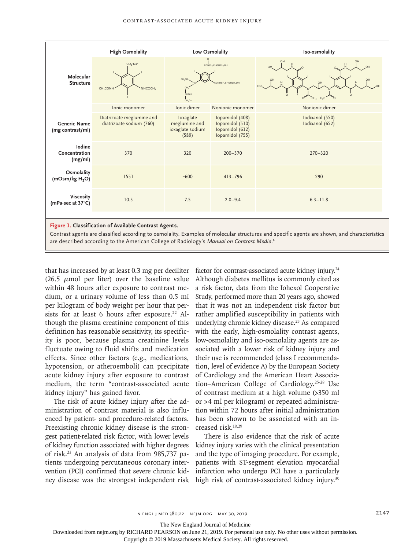|                                                                                                                                             | <b>High Osmolality</b>                                   | Low Osmolality                                                                                         |                                                                          | Iso-osmolality                       |
|---------------------------------------------------------------------------------------------------------------------------------------------|----------------------------------------------------------|--------------------------------------------------------------------------------------------------------|--------------------------------------------------------------------------|--------------------------------------|
| Molecular<br><b>Structure</b>                                                                                                               | $CO2-Na+$<br>CH <sub>3</sub> CONH<br>NHCOCH <sub>3</sub> | CONCH <sub>2</sub> CHOHCH <sub>2</sub> OH<br>CH.CO<br>СОЛНСН, СНОНСН, ОН<br>CHOH<br>CH <sub>2</sub> OH |                                                                          | OH<br>$\Omega$<br>$\Omega$<br>$H_2C$ |
|                                                                                                                                             | Ionic monomer                                            | Ionic dimer                                                                                            | Nonionic monomer                                                         | Nonionic dimer                       |
| <b>Generic Name</b><br>(mg contrast/ml)                                                                                                     | Diatrizoate meglumine and<br>diatrizoate sodium (760)    | loxaglate<br>meglumine and<br>ioxaglate sodium<br>(589)                                                | Iopamidol (408)<br>Iopamidol (510)<br>Iopamidol (612)<br>Iopamidol (755) | Iodixanol (550)<br>Iodixanol (652)   |
| lodine<br>Concentration<br>(mg/ml)                                                                                                          | 370                                                      | 320                                                                                                    | $200 - 370$                                                              | $270 - 320$                          |
| Osmolality<br>(mOsm/kg H <sub>2</sub> O)                                                                                                    | 1551                                                     | $-600$                                                                                                 | $413 - 796$                                                              | 290                                  |
| <b>Viscosity</b><br>(mPa-sec at 37°C)                                                                                                       | 10.5                                                     | 7.5                                                                                                    | $2.0 - 9.4$                                                              | $6.3 - 11.8$                         |
|                                                                                                                                             |                                                          |                                                                                                        |                                                                          |                                      |
| Figure 1. Classification of Available Contrast Agents.                                                                                      |                                                          |                                                                                                        |                                                                          |                                      |
| Contrast agents are classified according to osmolality. Examples of molecular structures and specific agents are shown, and characteristics |                                                          |                                                                                                        |                                                                          |                                      |

that has increased by at least 0.3 mg per deciliter (26.5  $\mu$ mol per liter) over the baseline value within 48 hours after exposure to contrast medium, or a urinary volume of less than 0.5 ml per kilogram of body weight per hour that persists for at least 6 hours after exposure.<sup>22</sup> Although the plasma creatinine component of this definition has reasonable sensitivity, its specificity is poor, because plasma creatinine levels fluctuate owing to fluid shifts and medication effects. Since other factors (e.g., medications, hypotension, or atheroemboli) can precipitate acute kidney injury after exposure to contrast medium, the term "contrast-associated acute kidney injury" has gained favor.

are described according to the American College of Radiology's *Manual on Contrast Media*. 8

The risk of acute kidney injury after the administration of contrast material is also influenced by patient- and procedure-related factors. Preexisting chronic kidney disease is the strongest patient-related risk factor, with lower levels of kidney function associated with higher degrees of risk.23 An analysis of data from 985,737 patients undergoing percutaneous coronary intervention (PCI) confirmed that severe chronic kidney disease was the strongest independent risk factor for contrast-associated acute kidney injury.<sup>24</sup> Although diabetes mellitus is commonly cited as a risk factor, data from the Iohexol Cooperative Study, performed more than 20 years ago, showed that it was not an independent risk factor but rather amplified susceptibility in patients with underlying chronic kidney disease.<sup>25</sup> As compared with the early, high-osmolality contrast agents, low-osmolality and iso-osmolality agents are associated with a lower risk of kidney injury and their use is recommended (class I recommendation, level of evidence A) by the European Society of Cardiology and the American Heart Association–American College of Cardiology.25-28 Use of contrast medium at a high volume (>350 ml or >4 ml per kilogram) or repeated administration within 72 hours after initial administration has been shown to be associated with an increased risk.18,29

There is also evidence that the risk of acute kidney injury varies with the clinical presentation and the type of imaging procedure. For example, patients with ST-segment elevation myocardial infarction who undergo PCI have a particularly high risk of contrast-associated kidney injury.<sup>30</sup>

The New England Journal of Medicine

Downloaded from nejm.org by RICHARD PEARSON on June 21, 2019. For personal use only. No other uses without permission.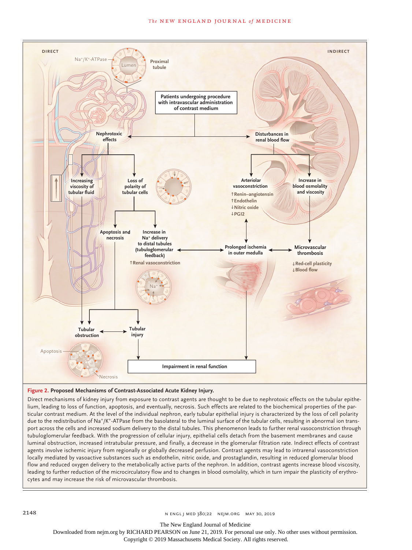#### **The NEW ENGLAND JOURNAL of MEDICINE**



#### **Figure 2. Proposed Mechanisms of Contrast-Associated Acute Kidney Injury.**

Direct mechanisms of kidney injury from exposure to contrast agents are thought to be due to nephrotoxic effects on the tubular epithelium, leading to loss of function, apoptosis, and eventually, necrosis. Such effects are related to the biochemical properties of the particular contrast medium. At the level of the individual nephron, early tubular epithelial injury is characterized by the loss of cell polarity due to the redistribution of Na<sup>+</sup>/K<sup>+</sup>-ATPase from the basolateral to the luminal surface of the tubular cells, resulting in abnormal ion transport across the cells and increased sodium delivery to the distal tubules. This phenomenon leads to further renal vasoconstriction through tubuloglomerular feedback. With the progression of cellular injury, epithelial cells detach from the basement membranes and cause luminal obstruction, increased intratubular pressure, and finally, a decrease in the glomerular filtration rate. Indirect effects of contrast agents involve ischemic injury from regionally or globally decreased perfusion. Contrast agents may lead to intrarenal vasoconstriction locally mediated by vasoactive substances such as endothelin, nitric oxide, and prostaglandin, resulting in reduced glomerular blood flow and reduced oxygen delivery to the metabolically active parts of the nephron. In addition, contrast agents increase blood viscosity, leading to further reduction of the microcirculatory flow and to changes in blood osmolality, which in turn impair the plasticity of erythrocytes and may increase the risk of microvascular thrombosis.

2148 **2148 n engl j med 380;22 NEJM.ORG** MAY 30, 2019

The New England Journal of Medicine

Downloaded from nejm.org by RICHARD PEARSON on June 21, 2019. For personal use only. No other uses without permission.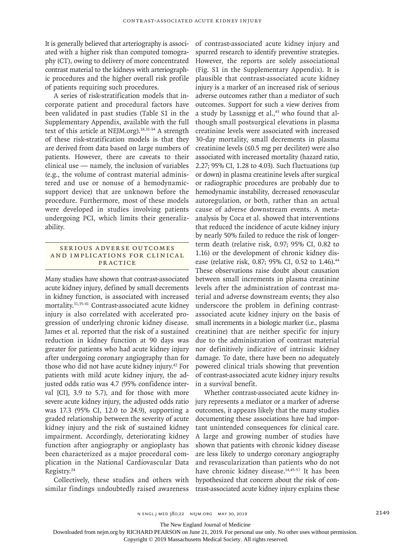It is generally believed that arteriography is associated with a higher risk than computed tomography (CT), owing to delivery of more concentrated contrast material to the kidneys with arteriographic procedures and the higher overall risk profile of patients requiring such procedures.

A series of risk-stratification models that incorporate patient and procedural factors have been validated in past studies (Table S1 in the Supplementary Appendix, available with the full text of this article at NEJM.org).<sup>18,31-34</sup> A strength of these risk-stratification models is that they are derived from data based on large numbers of patients. However, there are caveats to their clinical use — namely, the inclusion of variables (e.g., the volume of contrast material administered and use or nonuse of a hemodynamicsupport device) that are unknown before the procedure. Furthermore, most of these models were developed in studies involving patients undergoing PCI, which limits their generalizability.

## SERIOUS ADVERSE OUTCOMES AND IMPLICATIONS FOR CLINICAL **PRACTICE**

Many studies have shown that contrast-associated acute kidney injury, defined by small decrements in kidney function, is associated with increased mortality.31,35-41 Contrast-associated acute kidney injury is also correlated with accelerated progression of underlying chronic kidney disease. James et al. reported that the risk of a sustained reduction in kidney function at 90 days was greater for patients who had acute kidney injury after undergoing coronary angiography than for those who did not have acute kidney injury.42 For patients with mild acute kidney injury, the adjusted odds ratio was 4.7 (95% confidence interval [CI], 3.9 to 5.7), and for those with more severe acute kidney injury, the adjusted odds ratio was 17.3 (95% CI, 12.0 to 24.9), supporting a graded relationship between the severity of acute kidney injury and the risk of sustained kidney impairment. Accordingly, deteriorating kidney function after angiography or angioplasty has been characterized as a major procedural complication in the National Cardiovascular Data Registry.24

Collectively, these studies and others with similar findings undoubtedly raised awareness

of contrast-associated acute kidney injury and spurred research to identify preventive strategies. However, the reports are solely associational (Fig. S1 in the Supplementary Appendix). It is plausible that contrast-associated acute kidney injury is a marker of an increased risk of serious adverse outcomes rather than a mediator of such outcomes. Support for such a view derives from a study by Lassnigg et al., $43$  who found that although small postsurgical elevations in plasma creatinine levels were associated with increased 30-day mortality, small decrements in plasma creatinine levels (≤0.5 mg per deciliter) were also associated with increased mortality (hazard ratio, 2.27; 95% CI, 1.28 to 4.03). Such fluctuations (up or down) in plasma creatinine levels after surgical or radiographic procedures are probably due to hemodynamic instability, decreased renovascular autoregulation, or both, rather than an actual cause of adverse downstream events. A metaanalysis by Coca et al. showed that interventions that reduced the incidence of acute kidney injury by nearly 50% failed to reduce the risk of longerterm death (relative risk, 0.97; 95% CI, 0.82 to 1.16) or the development of chronic kidney disease (relative risk, 0.87; 95% CI, 0.52 to 1.46).<sup>44</sup> These observations raise doubt about causation between small increments in plasma creatinine levels after the administration of contrast material and adverse downstream events; they also underscore the problem in defining contrastassociated acute kidney injury on the basis of small increments in a biologic marker (i.e., plasma creatinine) that are neither specific for injury due to the administration of contrast material nor definitively indicative of intrinsic kidney damage. To date, there have been no adequately powered clinical trials showing that prevention of contrast-associated acute kidney injury results in a survival benefit.

Whether contrast-associated acute kidney injury represents a mediator or a marker of adverse outcomes, it appears likely that the many studies documenting these associations have had important unintended consequences for clinical care. A large and growing number of studies have shown that patients with chronic kidney disease are less likely to undergo coronary angiography and revascularization than patients who do not have chronic kidney disease.<sup>14,45-57</sup> It has been hypothesized that concern about the risk of contrast-associated acute kidney injury explains these

The New England Journal of Medicine

Downloaded from nejm.org by RICHARD PEARSON on June 21, 2019. For personal use only. No other uses without permission.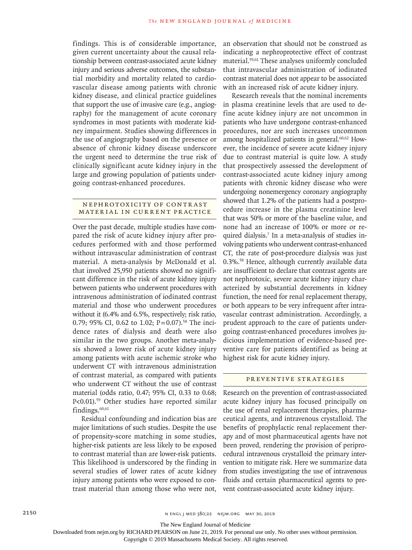findings. This is of considerable importance, given current uncertainty about the causal relationship between contrast-associated acute kidney injury and serious adverse outcomes, the substantial morbidity and mortality related to cardiovascular disease among patients with chronic kidney disease, and clinical practice guidelines that support the use of invasive care (e.g., angiography) for the management of acute coronary syndromes in most patients with moderate kidney impairment. Studies showing differences in the use of angiography based on the presence or absence of chronic kidney disease underscore the urgent need to determine the true risk of clinically significant acute kidney injury in the large and growing population of patients undergoing contrast-enhanced procedures.

## NEPHROTOXICITY OF CONTRAST Material in Current Practice

Over the past decade, multiple studies have compared the risk of acute kidney injury after procedures performed with and those performed without intravascular administration of contrast material. A meta-analysis by McDonald et al. that involved 25,950 patients showed no significant difference in the risk of acute kidney injury between patients who underwent procedures with intravenous administration of iodinated contrast material and those who underwent procedures without it (6.4% and 6.5%, respectively; risk ratio, 0.79; 95% CI, 0.62 to 1.02;  $P=0.07$ ).<sup>58</sup> The incidence rates of dialysis and death were also similar in the two groups. Another meta-analysis showed a lower risk of acute kidney injury among patients with acute ischemic stroke who underwent CT with intravenous administration of contrast material, as compared with patients who underwent CT without the use of contrast material (odds ratio, 0.47; 95% CI, 0.33 to 0.68; P<0.01).<sup>59</sup> Other studies have reported similar findings.<sup>60,61</sup>

Residual confounding and indication bias are major limitations of such studies. Despite the use of propensity-score matching in some studies, higher-risk patients are less likely to be exposed to contrast material than are lower-risk patients. This likelihood is underscored by the finding in several studies of lower rates of acute kidney injury among patients who were exposed to contrast material than among those who were not,

an observation that should not be construed as indicating a nephroprotective effect of contrast material.59,61 These analyses uniformly concluded that intravascular administration of iodinated contrast material does not appear to be associated with an increased risk of acute kidney injury.

Research reveals that the nominal increments in plasma creatinine levels that are used to define acute kidney injury are not uncommon in patients who have undergone contrast-enhanced procedures, nor are such increases uncommon among hospitalized patients in general.<sup>60,62</sup> However, the incidence of severe acute kidney injury due to contrast material is quite low. A study that prospectively assessed the development of contrast-associated acute kidney injury among patients with chronic kidney disease who were undergoing nonemergency coronary angiography showed that 1.2% of the patients had a postprocedure increase in the plasma creatinine level that was 50% or more of the baseline value, and none had an increase of 100% or more or required dialysis.<sup>7</sup> In a meta-analysis of studies involving patients who underwent contrast-enhanced CT, the rate of post-procedure dialysis was just 0.3%.58 Hence, although currently available data are insufficient to declare that contrast agents are not nephrotoxic, severe acute kidney injury characterized by substantial decrements in kidney function, the need for renal replacement therapy, or both appears to be very infrequent after intravascular contrast administration. Accordingly, a prudent approach to the care of patients undergoing contrast-enhanced procedures involves judicious implementation of evidence-based preventive care for patients identified as being at highest risk for acute kidney injury.

## PREVENTIVE STRATEGIES

Research on the prevention of contrast-associated acute kidney injury has focused principally on the use of renal replacement therapies, pharmaceutical agents, and intravenous crystalloid. The benefits of prophylactic renal replacement therapy and of most pharmaceutical agents have not been proved, rendering the provision of periprocedural intravenous crystalloid the primary intervention to mitigate risk. Here we summarize data from studies investigating the use of intravenous fluids and certain pharmaceutical agents to prevent contrast-associated acute kidney injury.

The New England Journal of Medicine

Downloaded from nejm.org by RICHARD PEARSON on June 21, 2019. For personal use only. No other uses without permission.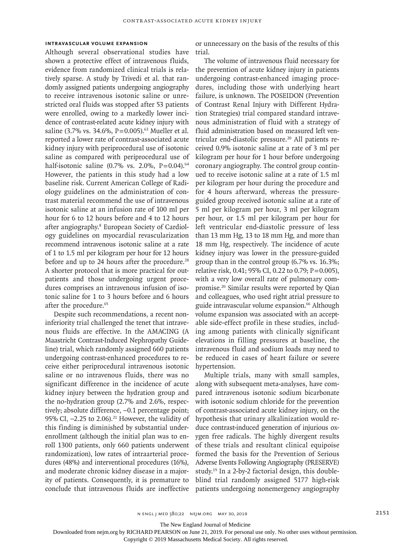## **Intravascular Volume Expansion**

Although several observational studies have shown a protective effect of intravenous fluids, evidence from randomized clinical trials is relatively sparse. A study by Trivedi et al. that randomly assigned patients undergoing angiography to receive intravenous isotonic saline or unrestricted oral fluids was stopped after 53 patients were enrolled, owing to a markedly lower incidence of contrast-related acute kidney injury with saline (3.7% vs. 34.6%, P=0.005).<sup>63</sup> Mueller et al. reported a lower rate of contrast-associated acute kidney injury with periprocedural use of isotonic saline as compared with periprocedural use of half-isotonic saline  $(0.7\% \text{ vs. } 2.0\% \text{, } P=0.04).$ <sup>64</sup> However, the patients in this study had a low baseline risk. Current American College of Radiology guidelines on the administration of contrast material recommend the use of intravenous isotonic saline at an infusion rate of 100 ml per hour for 6 to 12 hours before and 4 to 12 hours after angiography.<sup>8</sup> European Society of Cardiology guidelines on myocardial revascularization recommend intravenous isotonic saline at a rate of 1 to 1.5 ml per kilogram per hour for 12 hours before and up to 24 hours after the procedure.<sup>28</sup> A shorter protocol that is more practical for outpatients and those undergoing urgent procedures comprises an intravenous infusion of isotonic saline for 1 to 3 hours before and 6 hours after the procedure.<sup>65</sup>

Despite such recommendations, a recent noninferiority trial challenged the tenet that intravenous fluids are effective. In the AMACING (A Maastricht Contrast-Induced Nephropathy Guideline) trial, which randomly assigned 660 patients undergoing contrast-enhanced procedures to receive either periprocedural intravenous isotonic saline or no intravenous fluids, there was no significant difference in the incidence of acute kidney injury between the hydration group and the no-hydration group (2.7% and 2.6%, respectively; absolute difference, −0.1 percentage point; 95% CI, -2.25 to 2.06).<sup>21</sup> However, the validity of this finding is diminished by substantial underenrollment (although the initial plan was to enroll 1300 patients, only 660 patients underwent randomization), low rates of intraarterial procedures (48%) and interventional procedures (16%), and moderate chronic kidney disease in a majority of patients. Consequently, it is premature to conclude that intravenous fluids are ineffective

or unnecessary on the basis of the results of this trial.

The volume of intravenous fluid necessary for the prevention of acute kidney injury in patients undergoing contrast-enhanced imaging procedures, including those with underlying heart failure, is unknown. The POSEIDON (Prevention of Contrast Renal Injury with Different Hydration Strategies) trial compared standard intravenous administration of fluid with a strategy of fluid administration based on measured left ventricular end-diastolic pressure.<sup>20</sup> All patients received 0.9% isotonic saline at a rate of 3 ml per kilogram per hour for 1 hour before undergoing coronary angiography. The control group continued to receive isotonic saline at a rate of 1.5 ml per kilogram per hour during the procedure and for 4 hours afterward, whereas the pressureguided group received isotonic saline at a rate of 5 ml per kilogram per hour, 3 ml per kilogram per hour, or 1.5 ml per kilogram per hour for left ventricular end-diastolic pressure of less than 13 mm Hg, 13 to 18 mm Hg, and more than 18 mm Hg, respectively. The incidence of acute kidney injury was lower in the pressure-guided group than in the control group (6.7% vs. 16.3%; relative risk, 0.41; 95% CI, 0.22 to 0.79; P=0.005), with a very low overall rate of pulmonary compromise.20 Similar results were reported by Qian and colleagues, who used right atrial pressure to guide intravascular volume expansion.<sup>66</sup> Although volume expansion was associated with an acceptable side-effect profile in these studies, including among patients with clinically significant elevations in filling pressures at baseline, the intravenous fluid and sodium loads may need to be reduced in cases of heart failure or severe hypertension.

Multiple trials, many with small samples, along with subsequent meta-analyses, have compared intravenous isotonic sodium bicarbonate with isotonic sodium chloride for the prevention of contrast-associated acute kidney injury, on the hypothesis that urinary alkalinization would reduce contrast-induced generation of injurious oxygen free radicals. The highly divergent results of these trials and resultant clinical equipoise formed the basis for the Prevention of Serious Adverse Events Following Angiography (PRESERVE) study.19 In a 2-by-2 factorial design, this doubleblind trial randomly assigned 5177 high-risk patients undergoing nonemergency angiography

The New England Journal of Medicine

Downloaded from nejm.org by RICHARD PEARSON on June 21, 2019. For personal use only. No other uses without permission.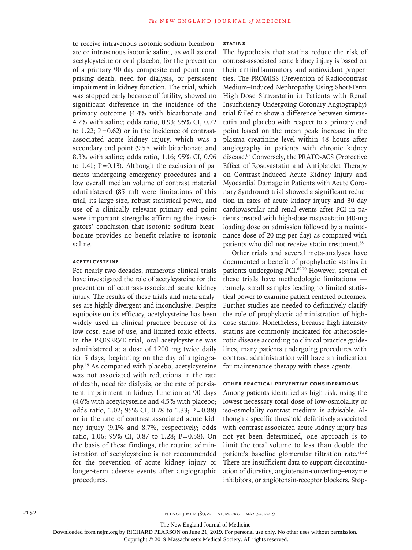to receive intravenous isotonic sodium bicarbonate or intravenous isotonic saline, as well as oral acetylcysteine or oral placebo, for the prevention of a primary 90-day composite end point comprising death, need for dialysis, or persistent impairment in kidney function. The trial, which was stopped early because of futility, showed no significant difference in the incidence of the primary outcome (4.4% with bicarbonate and 4.7% with saline; odds ratio, 0.93; 95% CI, 0.72 to 1.22;  $P=0.62$ ) or in the incidence of contrastassociated acute kidney injury, which was a secondary end point (9.5% with bicarbonate and 8.3% with saline; odds ratio, 1.16; 95% CI, 0.96 to 1.41;  $P=0.13$ ). Although the exclusion of patients undergoing emergency procedures and a low overall median volume of contrast material administered (85 ml) were limitations of this trial, its large size, robust statistical power, and use of a clinically relevant primary end point were important strengths affirming the investigators' conclusion that isotonic sodium bicarbonate provides no benefit relative to isotonic saline.

# **Acetylcysteine**

For nearly two decades, numerous clinical trials have investigated the role of acetylcysteine for the prevention of contrast-associated acute kidney injury. The results of these trials and meta-analyses are highly divergent and inconclusive. Despite equipoise on its efficacy, acetylcysteine has been widely used in clinical practice because of its low cost, ease of use, and limited toxic effects. In the PRESERVE trial, oral acetylcysteine was administered at a dose of 1200 mg twice daily for 5 days, beginning on the day of angiography.19 As compared with placebo, acetylcysteine was not associated with reductions in the rate of death, need for dialysis, or the rate of persistent impairment in kidney function at 90 days (4.6% with acetylcysteine and 4.5% with placebo; odds ratio, 1.02; 95% CI, 0.78 to 1.33; P=0.88) or in the rate of contrast-associated acute kidney injury (9.1% and 8.7%, respectively; odds ratio, 1.06; 95% CI, 0.87 to 1.28; P=0.58). On the basis of these findings, the routine administration of acetylcysteine is not recommended for the prevention of acute kidney injury or longer-term adverse events after angiographic procedures.

#### **Statins**

The hypothesis that statins reduce the risk of contrast-associated acute kidney injury is based on their antiinflammatory and antioxidant properties. The PROMISS (Prevention of Radiocontrast Medium–Induced Nephropathy Using Short-Term High-Dose Simvastatin in Patients with Renal Insufficiency Undergoing Coronary Angiography) trial failed to show a difference between simvastatin and placebo with respect to a primary end point based on the mean peak increase in the plasma creatinine level within 48 hours after angiography in patients with chronic kidney disease.67 Conversely, the PRATO-ACS (Protective Effect of Rosuvastatin and Antiplatelet Therapy on Contrast-Induced Acute Kidney Injury and Myocardial Damage in Patients with Acute Coronary Syndrome) trial showed a significant reduction in rates of acute kidney injury and 30-day cardiovascular and renal events after PCI in patients treated with high-dose rosuvastatin (40-mg loading dose on admission followed by a maintenance dose of 20 mg per day) as compared with patients who did not receive statin treatment.<sup>68</sup>

Other trials and several meta-analyses have documented a benefit of prophylactic statins in patients undergoing PCI.<sup>69,70</sup> However, several of these trials have methodologic limitations namely, small samples leading to limited statistical power to examine patient-centered outcomes. Further studies are needed to definitively clarify the role of prophylactic administration of highdose statins. Nonetheless, because high-intensity statins are commonly indicated for atherosclerotic disease according to clinical practice guidelines, many patients undergoing procedures with contrast administration will have an indication for maintenance therapy with these agents.

## **Other Practical Preventive Considerations**

Among patients identified as high risk, using the lowest necessary total dose of low-osmolality or iso-osmolality contrast medium is advisable. Although a specific threshold definitively associated with contrast-associated acute kidney injury has not yet been determined, one approach is to limit the total volume to less than double the patient's baseline glomerular filtration rate.<sup>71,72</sup> There are insufficient data to support discontinuation of diuretics, angiotensin-converting–enzyme inhibitors, or angiotensin-receptor blockers. Stop-

The New England Journal of Medicine

Downloaded from nejm.org by RICHARD PEARSON on June 21, 2019. For personal use only. No other uses without permission.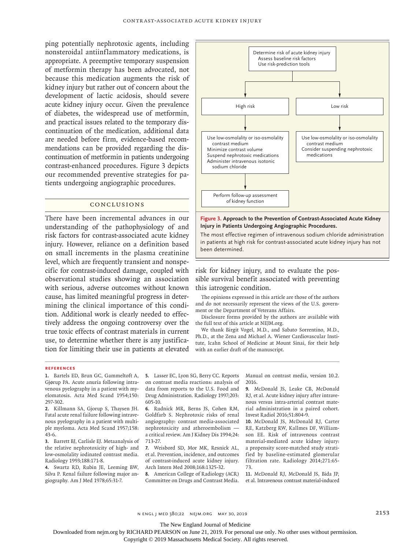ping potentially nephrotoxic agents, including nonsteroidal antiinflammatory medications, is appropriate. A preemptive temporary suspension of metformin therapy has been advocated, not because this medication augments the risk of kidney injury but rather out of concern about the development of lactic acidosis, should severe acute kidney injury occur. Given the prevalence of diabetes, the widespread use of metformin, and practical issues related to the temporary discontinuation of the medication, additional data are needed before firm, evidence-based recommendations can be provided regarding the discontinuation of metformin in patients undergoing contrast-enhanced procedures. Figure 3 depicts our recommended preventive strategies for patients undergoing angiographic procedures.

# Conclusions

There have been incremental advances in our understanding of the pathophysiology of and risk factors for contrast-associated acute kidney injury. However, reliance on a definition based on small increments in the plasma creatinine level, which are frequently transient and nonspecific for contrast-induced damage, coupled with observational studies showing an association with serious, adverse outcomes without known cause, has limited meaningful progress in determining the clinical importance of this condition. Additional work is clearly needed to effectively address the ongoing controversy over the true toxic effects of contrast materials in current use, to determine whether there is any justification for limiting their use in patients at elevated



**Figure 3. Approach to the Prevention of Contrast-Associated Acute Kidney Injury in Patients Undergoing Angiographic Procedures.**

The most effective regimen of intravenous sodium chloride administration in patients at high risk for contrast-associated acute kidney injury has not been determined.

risk for kidney injury, and to evaluate the possible survival benefit associated with preventing this iatrogenic condition.

The opinions expressed in this article are those of the authors and do not necessarily represent the views of the U.S. government or the Department of Veterans Affairs.

Disclosure forms provided by the authors are available with the full text of this article at NEJM.org.

We thank Birgit Vogel, M.D., and Sabato Sorrentino, M.D., Ph.D., at the Zena and Michael A. Wiener Cardiovascular Institute, Icahn School of Medicine at Mount Sinai, for their help with an earlier draft of the manuscript.

#### **References**

**1.** Bartels ED, Brun GC, Gammeltoft A, Gjørup PA. Acute anuria following intravenous pyelography in a patient with myelomatosis. Acta Med Scand 1954;150: 297-302.

**2.** Killmann SA, Gjorup S, Thaysen JH. Fatal acute renal failure following intravenous pyelography in a patient with multiple myeloma. Acta Med Scand 1957;158: 43-6.

**3.** Barrett BJ, Carlisle EJ. Metaanalysis of the relative nephrotoxicity of high- and low-osmolality iodinated contrast media. Radiology 1993;188:171-8.

**4.** Swartz RD, Rubin JE, Leeming BW, Silva P. Renal failure following major angiography. Am J Med 1978;65:31-7.

**5.** Lasser EC, Lyon SG, Berry CC. Reports on contrast media reactions: analysis of data from reports to the U.S. Food and Drug Administration. Radiology 1997;203: 605-10.

**6.** Rudnick MR, Berns JS, Cohen RM, Goldfarb S. Nephrotoxic risks of renal angiography: contrast media-associated nephrotoxicity and atheroembolism a critical review. Am J Kidney Dis 1994;24: 713-27.

**7.** Weisbord SD, Mor MK, Resnick AL, et al. Prevention, incidence, and outcomes of contrast-induced acute kidney injury. Arch Intern Med 2008;168:1325-32.

**8.** American College of Radiology (ACR) Committee on Drugs and Contrast Media. Manual on contrast media, version 10.2. 2016.

**9.** McDonald JS, Leake CB, McDonald RJ, et al. Acute kidney injury after intravenous versus intra-arterial contrast material administration in a paired cohort. Invest Radiol 2016;51:804-9.

**10.** McDonald JS, McDonald RJ, Carter RE, Katzberg RW, Kallmes DF, Williamson EE. Risk of intravenous contrast material-mediated acute kidney injury: a propensity score-matched study stratified by baseline-estimated glomerular filtration rate. Radiology 2014;271:65- 73.

**11.** McDonald RJ, McDonald JS, Bida JP, et al. Intravenous contrast material-induced

n engl j med 380;22 nejm.org May 30, 2019 2153

The New England Journal of Medicine

Downloaded from nejm.org by RICHARD PEARSON on June 21, 2019. For personal use only. No other uses without permission.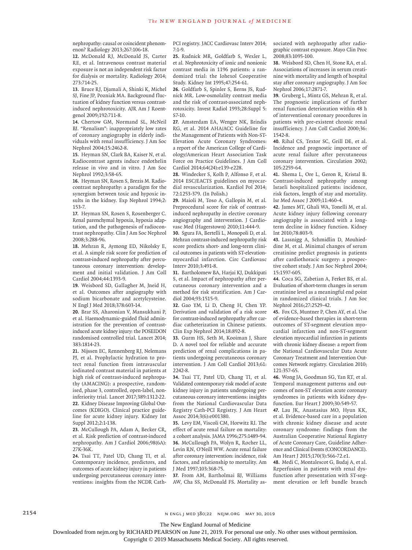nephropathy: causal or coincident phenomenon? Radiology 2013;267:106-18.

**12.** McDonald RJ, McDonald JS, Carter RE, et al. Intravenous contrast material exposure is not an independent risk factor for dialysis or mortality. Radiology 2014; 273:714-25.

**13.** Bruce RJ, Djamali A, Shinki K, Michel SJ, Fine JP, Pozniak MA. Background fluctuation of kidney function versus contrastinduced nephrotoxicity. AJR Am J Roentgenol 2009;192:711-8.

**14.** Chertow GM, Normand SL, McNeil BJ. "Renalism": inappropriately low rates of coronary angiography in elderly individuals with renal insufficiency. J Am Soc Nephrol 2004;15:2462-8.

**15.** Heyman SN, Clark BA, Kaiser N, et al. Radiocontrast agents induce endothelin release in vivo and in vitro. J Am Soc Nephrol 1992;3:58-65.

**16.** Heyman SN, Rosen S, Brezis M. Radiocontrast nephropathy: a paradigm for the synergism between toxic and hypoxic insults in the kidney. Exp Nephrol 1994;2: 153-7.

**17.** Heyman SN, Rosen S, Rosenberger C. Renal parenchymal hypoxia, hypoxia adaptation, and the pathogenesis of radiocontrast nephropathy. Clin J Am Soc Nephrol 2008;3:288-96.

**18.** Mehran R, Aymong ED, Nikolsky E, et al. A simple risk score for prediction of contrast-induced nephropathy after percutaneous coronary intervention: development and initial validation. J Am Coll Cardiol 2004;44:1393-9.

**19.** Weisbord SD, Gallagher M, Jneid H, et al. Outcomes after angiography with sodium bicarbonate and acetylcysteine. N Engl J Med 2018;378:603-14.

**20.** Brar SS, Aharonian V, Mansukhani P, et al. Haemodynamic-guided fluid administration for the prevention of contrastinduced acute kidney injury: the POSEIDON randomised controlled trial. Lancet 2014; 383:1814-23.

**21.** Nijssen EC, Rennenberg RJ, Nelemans PJ, et al. Prophylactic hydration to protect renal function from intravascular iodinated contrast material in patients at high risk of contrast-induced nephropathy (AMACING): a prospective, randomised, phase 3, controlled, open-label, noninferiority trial. Lancet 2017;389:1312-22. **22.** Kidney Disease Improving Global Outcomes (KDIGO). Clinical practice guideline for acute kidney injury. Kidney Int Suppl 2012;2:1-138.

**23.** McCullough PA, Adam A, Becker CR, et al. Risk prediction of contrast-induced nephropathy. Am J Cardiol 2006;98(6A): 27K-36K.

**24.** Tsai TT, Patel UD, Chang TI, et al. Contemporary incidence, predictors, and outcomes of acute kidney injury in patients undergoing percutaneous coronary interventions: insights from the NCDR CathPCI registry. JACC Cardiovasc Interv 2014; 7:1-9.

**25.** Rudnick MR, Goldfarb S, Wexler L, et al. Nephrotoxicity of ionic and nonionic contrast media in 1196 patients: a randomized trial: the Iohexol Cooperative Study. Kidney Int 1995;47:254-61.

**26.** Goldfarb S, Spinler S, Berns JS, Rudnick MR. Low-osmolality contrast media and the risk of contrast-associated nephrotoxicity. Invest Radiol 1993;28:Suppl 5: S7-10.

**27.** Amsterdam EA, Wenger NK, Brindis RG, et al. 2014 AHA/ACC Guideline for the Management of Patients with Non-ST-Elevation Acute Coronary Syndromes: a report of the American College of Cardiology/American Heart Association Task Force on Practice Guidelines. J Am Coll Cardiol 2014;64(24):e139-e228.

**28.** Windecker S, Kolh P, Alfonso F, et al. 2014 ESC/EACTS guidelines on myocardial revascularization. Kardiol Pol 2014; 72:1253-379. (In Polish.)

**29.** Maioli M, Toso A, Gallopin M, et al. Preprocedural score for risk of contrastinduced nephropathy in elective coronary angiography and intervention. J Cardiovasc Med (Hagerstown) 2010;11:444-9.

**30.** Sgura FA, Bertelli L, Monopoli D, et al. Mehran contrast-induced nephropathy risk score predicts short- and long-term clinical outcomes in patients with ST-elevationmyocardial infarction. Circ Cardiovasc Interv 2010;3:491-8.

**31.** Bartholomew BA, Harjai KJ, Dukkipati S, et al. Impact of nephropathy after percutaneous coronary intervention and a method for risk stratification. Am J Cardiol 2004;93:1515-9.

**32.** Gao YM, Li D, Cheng H, Chen YP. Derivation and validation of a risk score for contrast-induced nephropathy after cardiac catheterization in Chinese patients. Clin Exp Nephrol 2014;18:892-8.

**33.** Gurm HS, Seth M, Kooiman J, Share D. A novel tool for reliable and accurate prediction of renal complications in patients undergoing percutaneous coronary intervention. J Am Coll Cardiol 2013;61: 2242-8.

**34.** Tsai TT, Patel UD, Chang TI, et al. Validated contemporary risk model of acute kidney injury in patients undergoing percutaneous coronary interventions: insights from the National Cardiovascular Data Registry Cath-PCI Registry. J Am Heart Assoc 2014;3(6):e001380.

**35.** Levy EM, Viscoli CM, Horwitz RI. The effect of acute renal failure on mortality: a cohort analysis. JAMA 1996;275:1489-94. **36.** McCullough PA, Wolyn R, Rocher LL, Levin RN, O'Neill WW. Acute renal failure after coronary intervention: incidence, risk factors, and relationship to mortality. Am J Med 1997;103:368-75.

**37.** From AM, Bartholmai BJ, Williams AW, Cha SS, McDonald FS. Mortality associated with nephropathy after radiographic contrast exposure. Mayo Clin Proc 2008;83:1095-100.

**38.** Weisbord SD, Chen H, Stone RA, et al. Associations of increases in serum creatinine with mortality and length of hospital stay after coronary angiography. J Am Soc Nephrol 2006;17:2871-7.

**39.** Gruberg L, Mintz GS, Mehran R, et al. The prognostic implications of further renal function deterioration within 48 h of interventional coronary procedures in patients with pre-existent chronic renal insufficiency. J Am Coll Cardiol 2000;36: 1542-8.

**40.** Rihal CS, Textor SC, Grill DE, et al. Incidence and prognostic importance of acute renal failure after percutaneous coronary intervention. Circulation 2002; 105:2259-64.

**41.** Shema L, Ore L, Geron R, Kristal B. Contrast-induced nephropathy among Israeli hospitalized patients: incidence, risk factors, length of stay and mortality. Isr Med Assoc J 2009;11:460-4.

**42.** James MT, Ghali WA, Tonelli M, et al. Acute kidney injury following coronary angiography is associated with a longterm decline in kidney function. Kidney Int 2010;78:803-9.

**43.** Lassnigg A, Schmidlin D, Mouhieddine M, et al. Minimal changes of serum creatinine predict prognosis in patients after cardiothoracic surgery: a prospective cohort study. J Am Soc Nephrol 2004; 15:1597-605.

**44.** Coca SG, Zabetian A, Ferket BS, et al. Evaluation of short-term changes in serum creatinine level as a meaningful end point in randomized clinical trials. J Am Soc Nephrol 2016;27:2529-42.

**45.** Fox CS, Muntner P, Chen AY, et al. Use of evidence-based therapies in short-term outcomes of ST-segment elevation myocardial infarction and non-ST-segment elevation myocardial infarction in patients with chronic kidney disease: a report from the National Cardiovascular Data Acute Coronary Treatment and Intervention Outcomes Network registry. Circulation 2010; 121:357-65.

**46.** Wong JA, Goodman SG, Yan RT, et al. Temporal management patterns and outcomes of non-ST elevation acute coronary syndromes in patients with kidney dysfunction. Eur Heart J 2009;30:549-57.

**47.** Lau JK, Anastasius MO, Hyun KK, et al. Evidence-based care in a population with chronic kidney disease and acute coronary syndrome: findings from the Australian Cooperative National Registry of Acute Coronary Care, Guideline Adherence and Clinical Events (CONCORDANCE). Am Heart J 2015;170(3):566-72.e1.

**48.** Medi C, Montalescot G, Budaj A, et al. Reperfusion in patients with renal dysfunction after presentation with ST-segment elevation or left bundle branch

2154 **2154** n engl j med 380;22 nejm.org May 30, 2019

The New England Journal of Medicine

Downloaded from nejm.org by RICHARD PEARSON on June 21, 2019. For personal use only. No other uses without permission.